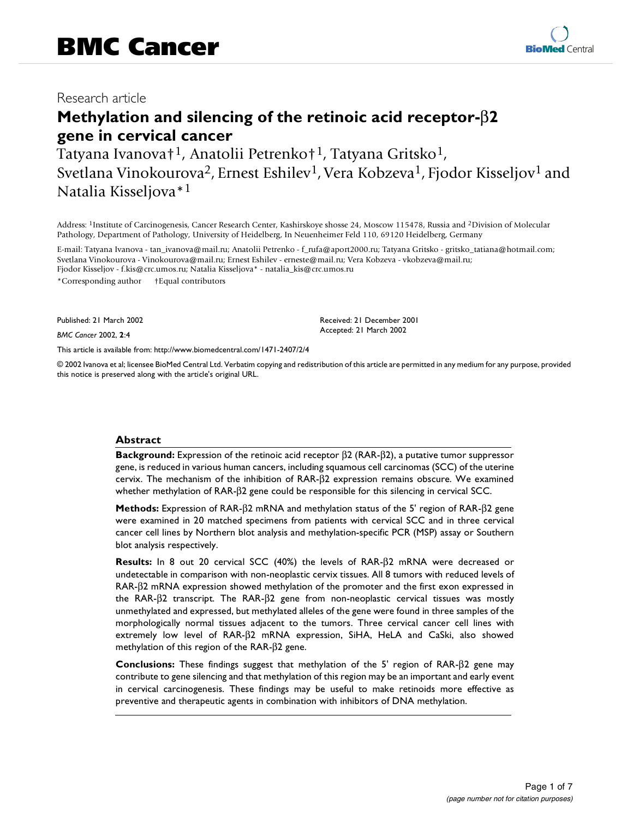## Research article

# **Methylation and silencing of the retinoic acid receptor-**β**2 gene in cervical cancer**

Tatyana Ivanova†1, Anatolii Petrenko†1, Tatyana Gritsko1, Svetlana Vinokourova<sup>2</sup>, Ernest Eshilev<sup>1</sup>, Vera Kobzeva<sup>1</sup>, Fjodor Kisseljov<sup>1</sup> and Natalia Kisseljova\*1

Address: 1Institute of Carcinogenesis, Cancer Research Center, Kashirskoye shosse 24, Moscow 115478, Russia and 2Division of Molecular Pathology, Department of Pathology, University of Heidelberg, In Neuenheimer Feld 110, 69120 Heidelberg, Germany

E-mail: Tatyana Ivanova - tan\_ivanova@mail.ru; Anatolii Petrenko - f\_rufa@aport2000.ru; Tatyana Gritsko - gritsko\_tatiana@hotmail.com; Svetlana Vinokourova - Vinokourova@mail.ru; Ernest Eshilev - erneste@mail.ru; Vera Kobzeva - vkobzeva@mail.ru; Fjodor Kisseljov - f.kis@crc.umos.ru; Natalia Kisseljova\* - natalia\_kis@crc.umos.ru

\*Corresponding author †Equal contributors

Published: 21 March 2002

*BMC Cancer* 2002, **2**:4

[This article is available from: http://www.biomedcentral.com/1471-2407/2/4](http://www.biomedcentral.com/1471-2407/2/4)

© 2002 Ivanova et al; licensee BioMed Central Ltd. Verbatim copying and redistribution of this article are permitted in any medium for any purpose, provided this notice is preserved along with the article's original URL.

#### **Abstract**

**Background:** Expression of the retinoic acid receptor β2 (RAR-β2), a putative tumor suppressor gene, is reduced in various human cancers, including squamous cell carcinomas (SCC) of the uterine cervix. The mechanism of the inhibition of RAR-β2 expression remains obscure. We examined whether methylation of RAR-β2 gene could be responsible for this silencing in cervical SCC.

**Methods:** Expression of RAR-β2 mRNA and methylation status of the 5' region of RAR-β2 gene were examined in 20 matched specimens from patients with cervical SCC and in three cervical cancer cell lines by Northern blot analysis and methylation-specific PCR (MSP) assay or Southern blot analysis respectively.

**Results:** In 8 out 20 cervical SCC (40%) the levels of RAR-β2 mRNA were decreased or undetectable in comparison with non-neoplastic cervix tissues. All 8 tumors with reduced levels of RAR-β2 mRNA expression showed methylation of the promoter and the first exon expressed in the RAR-β2 transcript. The RAR-β2 gene from non-neoplastic cervical tissues was mostly unmethylated and expressed, but methylated alleles of the gene were found in three samples of the morphologically normal tissues adjacent to the tumors. Three cervical cancer cell lines with extremely low level of RAR-β2 mRNA expression, SiHA, HeLA and CaSki, also showed methylation of this region of the RAR-β2 gene.

**Conclusions:** These findings suggest that methylation of the 5' region of RAR-β2 gene may contribute to gene silencing and that methylation of this region may be an important and early event in cervical carcinogenesis. These findings may be useful to make retinoids more effective as preventive and therapeutic agents in combination with inhibitors of DNA methylation.



Received: 21 December 2001 Accepted: 21 March 2002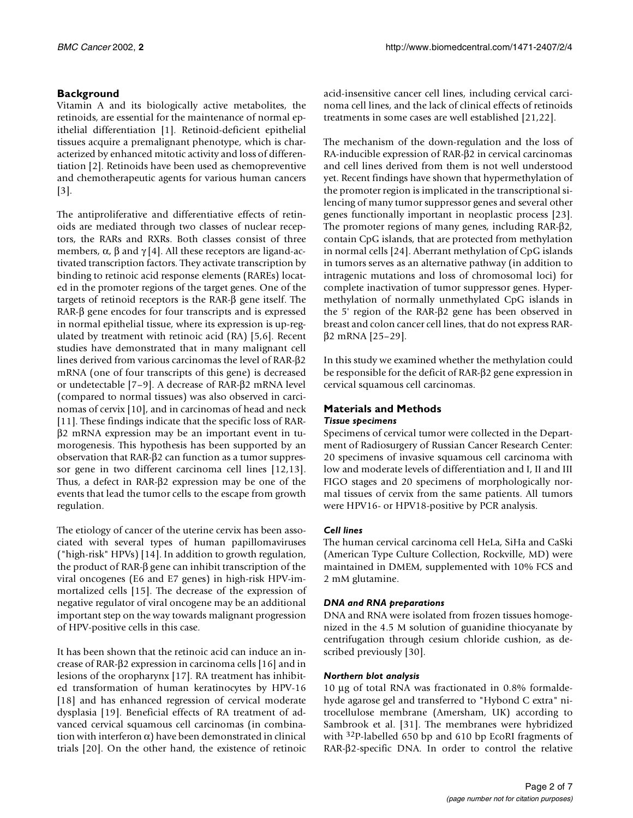## **Background**

Vitamin A and its biologically active metabolites, the retinoids, are essential for the maintenance of normal epithelial differentiation [1]. Retinoid-deficient epithelial tissues acquire a premalignant phenotype, which is characterized by enhanced mitotic activity and loss of differentiation [2]. Retinoids have been used as chemopreventive and chemotherapeutic agents for various human cancers [3].

The antiproliferative and differentiative effects of retinoids are mediated through two classes of nuclear receptors, the RARs and RXRs. Both classes consist of three members,  $\alpha$ ,  $\beta$  and  $\gamma$  [4]. All these receptors are ligand-activated transcription factors. They activate transcription by binding to retinoic acid response elements (RAREs) located in the promoter regions of the target genes. One of the targets of retinoid receptors is the RAR-β gene itself. The RAR-β gene encodes for four transcripts and is expressed in normal epithelial tissue, where its expression is up-regulated by treatment with retinoic acid (RA) [5,6]. Recent studies have demonstrated that in many malignant cell lines derived from various carcinomas the level of RAR-β2 mRNA (one of four transcripts of this gene) is decreased or undetectable [7–9]. A decrease of RAR-β2 mRNA level (compared to normal tissues) was also observed in carcinomas of cervix [10], and in carcinomas of head and neck [11]. These findings indicate that the specific loss of RARβ2 mRNA expression may be an important event in tumorogenesis. This hypothesis has been supported by an observation that RAR-β2 can function as a tumor suppressor gene in two different carcinoma cell lines [12,13]. Thus, a defect in RAR-β2 expression may be one of the events that lead the tumor cells to the escape from growth regulation.

The etiology of cancer of the uterine cervix has been associated with several types of human papillomaviruses ("high-risk" HPVs) [14]. In addition to growth regulation, the product of RAR-β gene can inhibit transcription of the viral oncogenes (E6 and E7 genes) in high-risk HPV-immortalized cells [15]. The decrease of the expression of negative regulator of viral oncogene may be an additional important step on the way towards malignant progression of HPV-positive cells in this case.

It has been shown that the retinoic acid can induce an increase of RAR-β2 expression in carcinoma cells [16] and in lesions of the oropharynx [17]. RA treatment has inhibited transformation of human keratinocytes by HPV-16 [18] and has enhanced regression of cervical moderate dysplasia [19]. Beneficial effects of RA treatment of advanced cervical squamous cell carcinomas (in combination with interferon  $\alpha$ ) have been demonstrated in clinical trials [20]. On the other hand, the existence of retinoic acid-insensitive cancer cell lines, including cervical carcinoma cell lines, and the lack of clinical effects of retinoids treatments in some cases are well established [21,22].

The mechanism of the down-regulation and the loss of RA-inducible expression of RAR-β2 in cervical carcinomas and cell lines derived from them is not well understood yet. Recent findings have shown that hypermethylation of the promoter region is implicated in the transcriptional silencing of many tumor suppressor genes and several other genes functionally important in neoplastic process [23]. The promoter regions of many genes, including RAR-β2, contain CpG islands, that are protected from methylation in normal cells [24]. Aberrant methylation of CpG islands in tumors serves as an alternative pathway (in addition to intragenic mutations and loss of chromosomal loci) for complete inactivation of tumor suppressor genes. Hypermethylation of normally unmethylated CpG islands in the 5' region of the RAR-β2 gene has been observed in breast and colon cancer cell lines, that do not express RARβ2 mRNA [25–29].

In this study we examined whether the methylation could be responsible for the deficit of RAR-β2 gene expression in cervical squamous cell carcinomas.

## **Materials and Methods** *Tissue specimens*

Specimens of cervical tumor were collected in the Department of Radiosurgery of Russian Cancer Research Center: 20 specimens of invasive squamous cell carcinoma with low and moderate levels of differentiation and I, II and III FIGO stages and 20 specimens of morphologically normal tissues of cervix from the same patients. All tumors were HPV16- or HPV18-positive by PCR analysis.

## *Cell lines*

The human cervical carcinoma cell HeLa, SiHa and CaSki (American Type Culture Collection, Rockville, MD) were maintained in DMEM, supplemented with 10% FCS and 2 mM glutamine.

## *DNA and RNA preparations*

DNA and RNA were isolated from frozen tissues homogenized in the 4.5 M solution of guanidine thiocyanate by centrifugation through cesium chloride cushion, as described previously [30].

## *Northern blot analysis*

10 µg of total RNA was fractionated in 0.8% formaldehyde agarose gel and transferred to "Hybond C extra" nitrocellulose membrane (Amersham, UK) according to Sambrook et al. [31]. The membranes were hybridized with <sup>32</sup>P-labelled 650 bp and 610 bp EcoRI fragments of RAR-β2-specific DNA. In order to control the relative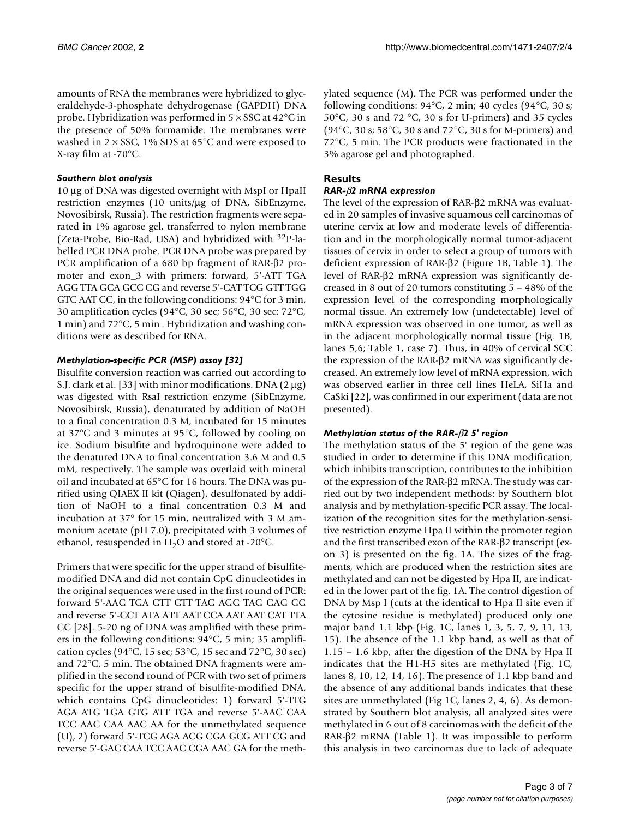amounts of RNA the membranes were hybridized to glyceraldehyde-3-phosphate dehydrogenase (GAPDH) DNA probe. Hybridization was performed in 5 × SSC at 42°C in the presence of 50% formamide. The membranes were washed in  $2\times\text{SSC}$  , 1% SDS at 65°C and were exposed to X-ray film at -70°C.

#### *Southern blot analysis*

10 µg of DNA was digested overnight with MspI or HpaII restriction enzymes (10 units/µg of DNA, SibEnzyme, Novosibirsk, Russia). The restriction fragments were separated in 1% agarose gel, transferred to nylon membrane (Zeta-Probe, Bio-Rad, USA) and hybridized with 32P-labelled PCR DNA probe. PCR DNA probe was prepared by PCR amplification of a 680 bp fragment of RAR-β2 promoter and exon\_3 with primers: forward, 5'-ATT TGA AGG TTA GCA GCC CG and reverse 5'-CAT TCG GTT TGG GTC AAT CC, in the following conditions: 94°C for 3 min, 30 amplification cycles (94°C, 30 sec; 56°C, 30 sec; 72°C, 1 min) and 72°C, 5 min . Hybridization and washing conditions were as described for RNA.

## *Methylation-specific PCR (MSP) assay [32]*

Bisulfite conversion reaction was carried out according to S.J. clark et al. [33] with minor modifications. DNA  $(2 \mu g)$ was digested with RsaI restriction enzyme (SibEnzyme, Novosibirsk, Russia), denaturated by addition of NaOH to a final concentration 0.3 M, incubated for 15 minutes at 37°C and 3 minutes at 95°C, followed by cooling on ice. Sodium bisulfite and hydroquinone were added to the denatured DNA to final concentration 3.6 M and 0.5 mM, respectively. The sample was overlaid with mineral oil and incubated at 65°C for 16 hours. The DNA was purified using QIAEX II kit (Qiagen), desulfonated by addition of NaOH to a final concentration 0.3 M and incubation at 37° for 15 min, neutralized with 3 M ammonium acetate (pH 7.0), precipitated with 3 volumes of ethanol, resuspended in  $H_2O$  and stored at -20°C.

Primers that were specific for the upper strand of bisulfitemodified DNA and did not contain CpG dinucleotides in the original sequences were used in the first round of PCR: forward 5'-AAG TGA GTT GTT TAG AGG TAG GAG GG and reverse 5'-CCT ATA ATT AAT CCA AAT AAT CAT TTA CC [28]. 5-20 ng of DNA was amplified with these primers in the following conditions: 94°C, 5 min; 35 amplification cycles (94°C, 15 sec; 53°C, 15 sec and 72°C, 30 sec) and 72°C, 5 min. The obtained DNA fragments were amplified in the second round of PCR with two set of primers specific for the upper strand of bisulfite-modified DNA, which contains CpG dinucleotides: 1) forward 5'-TTG AGA ATG TGA GTG ATT TGA and reverse 5'-AAC CAA TCC AAC CAA AAC AA for the unmethylated sequence (U), 2) forward 5'-TCG AGA ACG CGA GCG ATT CG and reverse 5'-GAC CAA TCC AAC CGA AAC GA for the methylated sequence (M). The PCR was performed under the following conditions:  $94^{\circ}$ C, 2 min; 40 cycles ( $94^{\circ}$ C, 30 s; 50°C, 30 s and 72 °C, 30 s for U-primers) and 35 cycles (94°C, 30 s; 58°C, 30 s and 72°C, 30 s for M-primers) and 72°C, 5 min. The PCR products were fractionated in the 3% agarose gel and photographed.

## **Results**

## *RAR-*β*2 mRNA expression*

The level of the expression of RAR-β2 mRNA was evaluated in 20 samples of invasive squamous cell carcinomas of uterine cervix at low and moderate levels of differentiation and in the morphologically normal tumor-adjacent tissues of cervix in order to select a group of tumors with deficient expression of RAR-β2 (Figure [1B](#page-3-0), Table 1). The level of RAR-β2 mRNA expression was significantly decreased in 8 out of 20 tumors constituting 5 – 48% of the expression level of the corresponding morphologically normal tissue. An extremely low (undetectable) level of mRNA expression was observed in one tumor, as well as in the adjacent morphologically normal tissue (Fig. [1B](#page-3-0), lanes 5,6; Table 1, case 7). Thus, in 40% of cervical SCC the expression of the RAR-β2 mRNA was significantly decreased. An extremely low level of mRNA expression, wich was observed earlier in three cell lines HeLA, SiHa and CaSki [22], was confirmed in our experiment (data are not presented).

## *Methylation status of the RAR-*β*2 5' region*

The methylation status of the 5' region of the gene was studied in order to determine if this DNA modification, which inhibits transcription, contributes to the inhibition of the expression of the RAR-β2 mRNA. The study was carried out by two independent methods: by Southern blot analysis and by methylation-specific PCR assay. The localization of the recognition sites for the methylation-sensitive restriction enzyme Hpa II within the promoter region and the first transcribed exon of the RAR-β2 transcript (exon 3) is presented on the fig. [1](#page-3-0)A. The sizes of the fragments, which are produced when the restriction sites are methylated and can not be digested by Hpa II, are indicated in the lower part of the fig. [1](#page-3-0)A. The control digestion of DNA by Msp I (cuts at the identical to Hpa II site even if the cytosine residue is methylated) produced only one major band 1.1 kbp (Fig. [1](#page-3-0)C, lanes 1, 3, 5, 7, 9, 11, 13, 15). The absence of the 1.1 kbp band, as well as that of 1.15 – 1.6 kbp, after the digestion of the DNA by Hpa II indicates that the H1-H5 sites are methylated (Fig. [1](#page-3-0)C, lanes 8, 10, 12, 14, 16). The presence of 1.1 kbp band and the absence of any additional bands indicates that these sites are unmethylated (Fig [1C](#page-3-0), lanes 2, 4, 6). As demonstrated by Southern blot analysis, all analyzed sites were methylated in 6 out of 8 carcinomas with the deficit of the RAR-β2 mRNA (Table 1). It was impossible to perform this analysis in two carcinomas due to lack of adequate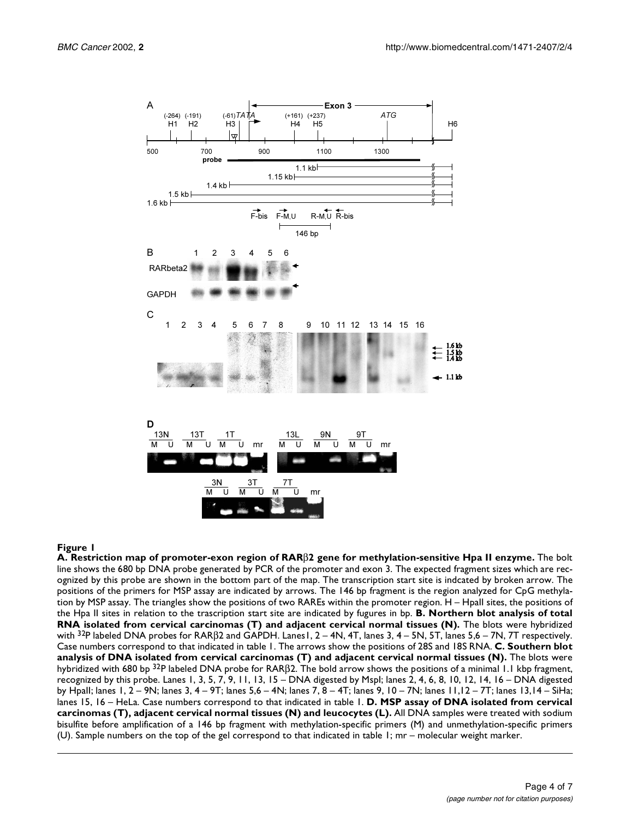

## <span id="page-3-0"></span>**Figure 1**

**A. Restriction map of promoter-exon region of RAR**β**2 gene for methylation-sensitive Hpa II enzyme.** The bolt line shows the 680 bp DNA probe generated by PCR of the promoter and exon 3. The expected fragment sizes which are recognized by this probe are shown in the bottom part of the map. The transcription start site is indcated by broken arrow. The positions of the primers for MSP assay are indicated by arrows. The 146 bp fragment is the region analyzed for CpG methylation by MSP assay. The triangles show the positions of two RAREs within the promoter region. H – HpaII sites, the positions of the Hpa II sites in relation to the trascription start site are indicated by fugures in bp. **B. Northern blot analysis of total RNA isolated from cervical carcinomas (T) and adjacent cervical normal tissues (N).** The blots were hybridized with  $32P$  labeled DNA probes for RAR $\beta$ 2 and GAPDH. Lanes 1, 2 – 4N, 4T, lanes 3, 4 – 5N, 5T, lanes 5,6 – 7N, 7T respectively. Case numbers correspond to that indicated in table 1. The arrows show the positions of 28S and 18S RNA. **C. Southern blot analysis of DNA isolated from cervical carcinomas (T) and adjacent cervical normal tissues (N).** The blots were hybridized with 680 bp <sup>32</sup>P labeled DNA probe for RARβ2. The bold arrow shows the positions of a minimal 1.1 kbp fragment, recognized by this probe. Lanes 1, 3, 5, 7, 9, 11, 13, 15 – DNA digested by MspI; lanes 2, 4, 6, 8, 10, 12, 14, 16 – DNA digested by HpaII; lanes 1, 2 – 9N; lanes 3, 4 – 9T; lanes 5,6 – 4N; lanes 7, 8 – 4T; lanes 9, 10 – 7N; lanes 11,12 – 7T; lanes 13,14 – SiHa; lanes 15, 16 – HeLa. Case numbers correspond to that indicated in table 1. **D. MSP assay of DNA isolated from cervical carcinomas (T), adjacent cervical normal tissues (N) and leucocytes (L).** All DNA samples were treated with sodium bisulfite before amplification of a 146 bp fragment with methylation-specific primers (M) and unmethylation-specific primers (U). Sample numbers on the top of the gel correspond to that indicated in table 1; mr – molecular weight marker.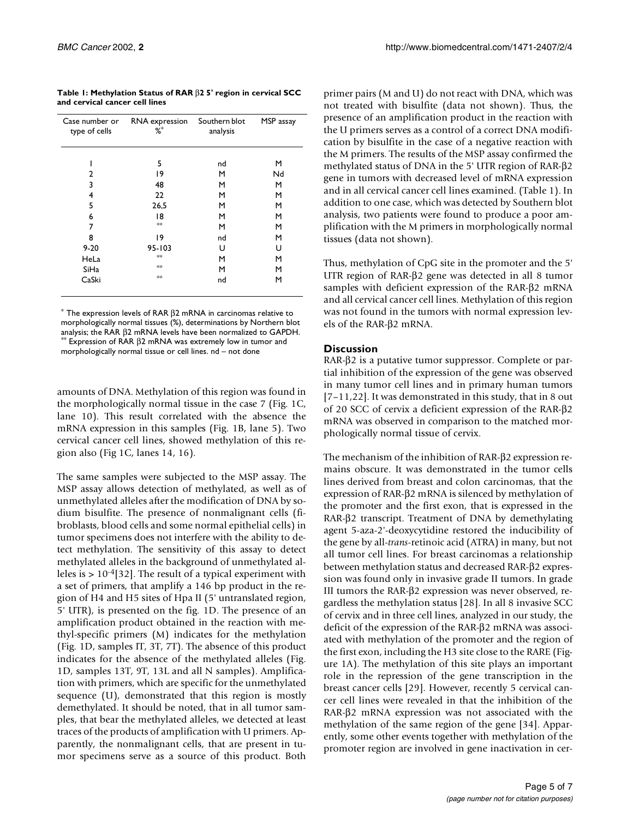**Table 1: Methylation Status of RAR** β**2 5' region in cervical SCC and cervical cancer cell lines**

| Case number or<br>type of cells | RNA expression<br>$\% ^{*}$ | Southern blot<br>analysis | MSP assay |
|---------------------------------|-----------------------------|---------------------------|-----------|
|                                 | 5                           | nd                        | м         |
| 2                               | 19                          | м                         | Nd        |
| 3                               | 48                          | М                         | М         |
| 4                               | 22                          | М                         | М         |
| 5                               | 26,5                        | м                         | м         |
| 6                               | 18                          | м                         | м         |
| 7                               | **                          | м                         | м         |
| 8                               | 19                          | nd                        | М         |
| $9 - 20$                        | $95 - 103$                  | U                         | U         |
| HeLa                            | **                          | м                         | м         |
| <b>SiHa</b>                     | **                          | м                         | м         |
| CaSki                           | **                          | nd                        | М         |

 $*$  The expression levels of RAR  $\beta$ 2 mRNA in carcinomas relative to morphologically normal tissues (%), determinations by Northern blot analysis; the RAR  $β2$  mRNA levels have been normalized to GAPDH.<br><sup>\*\*</sup> Expression of RAR  $β2$  mRNA was extremely low in tumor and

morphologically normal tissue or cell lines. nd – not done

amounts of DNA. Methylation of this region was found in the morphologically normal tissue in the case 7 (Fig. [1](#page-3-0)C, lane 10). This result correlated with the absence the mRNA expression in this samples (Fig. [1](#page-3-0)B, lane 5). Two cervical cancer cell lines, showed methylation of this region also (Fig [1](#page-3-0)C, lanes 14, 16).

The same samples were subjected to the MSP assay. The MSP assay allows detection of methylated, as well as of unmethylated alleles after the modification of DNA by sodium bisulfite. The presence of nonmalignant cells (fibroblasts, blood cells and some normal epithelial cells) in tumor specimens does not interfere with the ability to detect methylation. The sensitivity of this assay to detect methylated alleles in the background of unmethylated alleles is > 10-4[32]. The result of a typical experiment with a set of primers, that amplify a 146 bp product in the region of H4 and H5 sites of Hpa II (5' untranslated region, 5' UTR), is presented on the fig. [1D](#page-3-0). The presence of an amplification product obtained in the reaction with methyl-specific primers (M) indicates for the methylation (Fig. [1](#page-3-0)D, samples IT, 3T, 7T). The absence of this product indicates for the absence of the methylated alleles (Fig. [1](#page-3-0)D, samples 13T, 9T, 13L and all N samples). Amplification with primers, which are specific for the unmethylated sequence (U), demonstrated that this region is mostly demethylated. It should be noted, that in all tumor samples, that bear the methylated alleles, we detected at least traces of the products of amplification with U primers. Apparently, the nonmalignant cells, that are present in tumor specimens serve as a source of this product. Both

primer pairs (M and U) do not react with DNA, which was not treated with bisulfite (data not shown). Thus, the presence of an amplification product in the reaction with the U primers serves as a control of a correct DNA modification by bisulfite in the case of a negative reaction with the M primers. The results of the MSP assay confirmed the methylated status of DNA in the 5' UTR region of RAR-β2 gene in tumors with decreased level of mRNA expression and in all cervical cancer cell lines examined. (Table 1). In addition to one case, which was detected by Southern blot analysis, two patients were found to produce a poor amplification with the M primers in morphologically normal tissues (data not shown).

Thus, methylation of CpG site in the promoter and the 5' UTR region of RAR-β2 gene was detected in all 8 tumor samples with deficient expression of the RAR-β2 mRNA and all cervical cancer cell lines. Methylation of this region was not found in the tumors with normal expression levels of the RAR-β2 mRNA.

## **Discussion**

RAR-β2 is a putative tumor suppressor. Complete or partial inhibition of the expression of the gene was observed in many tumor cell lines and in primary human tumors [7–11,22]. It was demonstrated in this study, that in 8 out of 20 SCC of cervix a deficient expression of the RAR-β2 mRNA was observed in comparison to the matched morphologically normal tissue of cervix.

The mechanism of the inhibition of RAR-β2 expression remains obscure. It was demonstrated in the tumor cells lines derived from breast and colon carcinomas, that the expression of RAR-β2 mRNA is silenced by methylation of the promoter and the first exon, that is expressed in the RAR-β2 transcript. Treatment of DNA by demethylating agent 5-aza-2'-deoxycytidine restored the inducibility of the gene by all-*trans*-retinoic acid (ATRA) in many, but not all tumor cell lines. For breast carcinomas a relationship between methylation status and decreased RAR-β2 expression was found only in invasive grade II tumors. In grade III tumors the RAR-β2 expression was never observed, regardless the methylation status [28]. In all 8 invasive SCC of cervix and in three cell lines, analyzed in our study, the deficit of the expression of the RAR-β2 mRNA was associated with methylation of the promoter and the region of the first exon, including the H3 site close to the RARE (Figure [1](#page-3-0)A). The methylation of this site plays an important role in the repression of the gene transcription in the breast cancer cells [29]. However, recently 5 cervical cancer cell lines were revealed in that the inhibition of the RAR-β2 mRNA expression was not associated with the methylation of the same region of the gene [34]. Apparently, some other events together with methylation of the promoter region are involved in gene inactivation in cer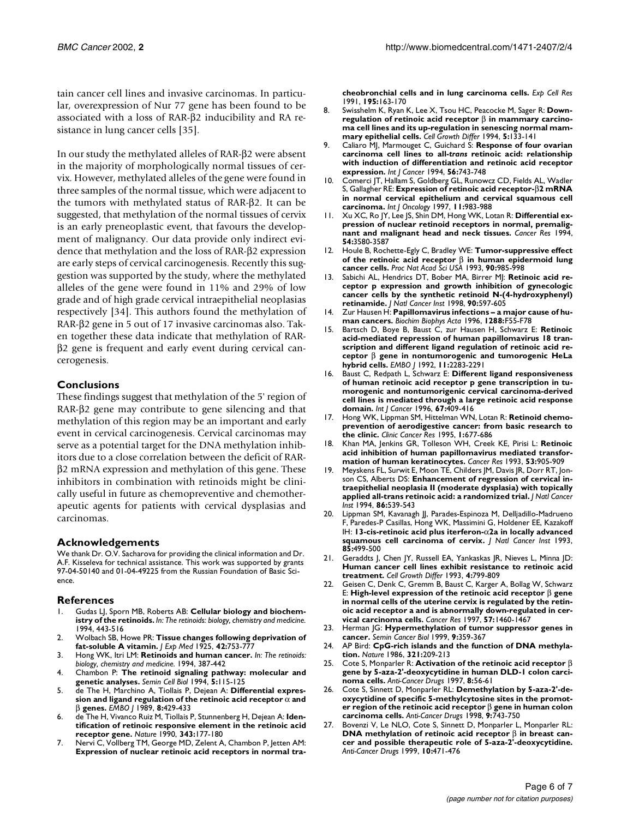tain cancer cell lines and invasive carcinomas. In particular, overexpression of Nur 77 gene has been found to be associated with a loss of RAR-β2 inducibility and RA resistance in lung cancer cells [35].

In our study the methylated alleles of RAR-β2 were absent in the majority of morphologically normal tissues of cervix. However, methylated alleles of the gene were found in three samples of the normal tissue, which were adjacent to the tumors with methylated status of RAR-β2. It can be suggested, that methylation of the normal tissues of cervix is an early preneoplastic event, that favours the development of malignancy. Our data provide only indirect evidence that methylation and the loss of RAR-β2 expression are early steps of cervical carcinogenesis. Recently this suggestion was supported by the study, where the methylated alleles of the gene were found in 11% and 29% of low grade and of high grade cervical intraepithelial neoplasias respectively [34]. This authors found the methylation of RAR-β2 gene in 5 out of 17 invasive carcinomas also. Taken together these data indicate that methylation of RARβ2 gene is frequent and early event during cervical cancerogenesis.

#### **Conclusions**

These findings suggest that methylation of the 5' region of RAR-β2 gene may contribute to gene silencing and that methylation of this region may be an important and early event in cervical carcinogenesis. Cervical carcinomas may serve as a potential target for the DNA methylation inhibitors due to a close correlation between the deficit of RARβ2 mRNA expression and methylation of this gene. These inhibitors in combination with retinoids might be clinically useful in future as chemopreventive and chemotherapeutic agents for patients with cervical dysplasias and carcinomas.

#### **Acknowledgements**

We thank Dr. O.V. Sacharova for providing the clinical information and Dr. A.F. Kisseleva for technical assistance. This work was supported by grants 97-04-50140 and 01-04-49225 from the Russian Foundation of Basic Science.

#### **References**

- 1. Gudas LJ, Sporn MB, Roberts AB: **Cellular biology and biochemistry of the retinoids.** *In: The retinoids: biology, chemistry and medicine.* 1994, 443-516
- 2. Wolbach SB, Howe PR: **Tissue changes following deprivation of fat-soluble A vitamin.** *J Exp Med* 1925, **42:**753-777
- 3. Hong WK, Itri LM: **Retinoids and human cancer.** *In: The retinoids: biology, chemistry and medicine.* 1994, 387-442
- 4. [Chambon P:](http://www.ncbi.nlm.nih.gov/entrez/query.fcgi?cmd=Retrieve&db=PubMed&dopt=Abstract&list_uids=8068884) **The retinoid signaling pathway: molecular and genetic analyses.** *Semin Cell Biol* 1994, **5:**115-125
- 5. [de The H, Marchino A, Tiollais P, Dejean A:](http://www.ncbi.nlm.nih.gov/entrez/query.fcgi?cmd=Retrieve&db=PubMed&dopt=Abstract&list_uids=2542014) **Differential expression and ligand regulation of the retinoic acid receptor** α **and** β **genes.** *EMBO J* 1989, **8:**429-433
- 6. [de The H, Vivanco Ruiz M, Tiollais P, Stunnenberg H, Dejean A:](http://www.ncbi.nlm.nih.gov/entrez/query.fcgi?cmd=Retrieve&db=PubMed&dopt=Abstract&list_uids=2153268) **Identification of retinoic responsive element in the retinoic acid receptor gene.** *Nature* 1990, **343:**177-180
- 7. [Nervi C, Vollberg TM, George MD, Zelent A, Chambon P, Jetten AM:](http://www.ncbi.nlm.nih.gov/entrez/query.fcgi?cmd=Retrieve&db=PubMed&dopt=Abstract&list_uids=1675998) **Expression of nuclear retinoic acid receptors in normal tra-**

**cheobronchial cells and in lung carcinoma cells.** *Exp Cell Res* 1991, **195:**163-170

- 8. [Swisshelm K, Ryan K, Lee X, Tsou HC, Peacocke M, Sager R:](http://www.ncbi.nlm.nih.gov/entrez/query.fcgi?cmd=Retrieve&db=PubMed&dopt=Abstract&list_uids=8180126) **Downregulation of retinoic acid receptor** β **in mammary carcinoma cell lines and its up-regulation in senescing normal mammary epithelial cells.** *Cell Growth Differ* 1994, **5:**133-141
- 9. [Caliaro MJ, Marmouget C, Guichard S:](http://www.ncbi.nlm.nih.gov/entrez/query.fcgi?cmd=Retrieve&db=PubMed&dopt=Abstract&list_uids=8314353) **Response of four ovarian carcinoma cell lines to all-***trans* **retinoic acid: relationship with induction of differentiation and retinoic acid receptor expression.** *Int J Cancer* 1994, **56:**743-748
- 10. Comerci JT, Hallam S, Goldberg GL, Runowcz CD, Fields AL, Wadler S, Gallagher RE: **Expression of retinoic acid receptor-**β**2 mRNA in normal cervical epithelium and cervical squamous cell carcinoma.** *Int J Oncology* 1997, **11:**983-988
- 11. [Xu XC, Ro JY, Lee JS, Shin DM, Hong WK, Lotan R:](http://www.ncbi.nlm.nih.gov/entrez/query.fcgi?cmd=Retrieve&db=PubMed&dopt=Abstract&list_uids=8012985) **Differential expression of nuclear retinoid receptors in normal, premalignant and malignant head and neck tissues.** *Cancer Res* 1994, **54:**3580-3587
- 12. [Houle B, Rochette-Egly C, Bradley WE:](http://www.ncbi.nlm.nih.gov/entrez/query.fcgi?cmd=Retrieve&db=PubMed&dopt=Abstract&list_uids=8381540) **Tumor-suppressive effect of the retinoic acid receptor** β **in human epidermoid lung cancer cells.** *Proc Nat Acad Sci USA* 1993, **90:**985-998
- 13. [Sabichi AL, Hendrics DT, Bober MA, Birrer MJ:](http://www.ncbi.nlm.nih.gov/entrez/query.fcgi?cmd=Retrieve&db=PubMed&dopt=Abstract&list_uids=9554442) **Retinoic acid receptor p expression and growth inhibition of gynecologic cancer cells by the synthetic retinoid N-(4-hydroxyphenyl) retinamide.** *J Natl Cancer Inst* 1998, **90:**597-605
- 14. [Zur Hausen H:](http://www.ncbi.nlm.nih.gov/entrez/query.fcgi?cmd=Retrieve&db=PubMed&dopt=Abstract&list_uids=8876633) **Papillomavirus infections a major cause of human cancers.** *Biochim Biophys Acta* 1996, **1288:**F55-F78
- 15. [Bartsch D, Boye B, Baust C, zur Hausen H, Schwarz E:](http://www.ncbi.nlm.nih.gov/entrez/query.fcgi?cmd=Retrieve&db=PubMed&dopt=Abstract&list_uids=1318198) **Retinoic acid-mediated repression of human papillomavirus 18 transcription and different ligand regulation of retinoic acid receptor** β **gene in nontumorogenic and tumorogenic HeLa hybrid cells.** *EMBO J* 1992, **11:**2283-2291
- 16. [Baust C, Redpath L, Schwarz E:](http://www.ncbi.nlm.nih.gov/entrez/query.fcgi?cmd=Retrieve&db=PubMed&dopt=Abstract&list_uids=8707417) **Different ligand responsiveness of human retinoic acid receptor p gene transcription in tumorogenic and nontumorigenic cervical carcinoma-derived cell lines is mediated through a large retinoic acid response domain.** *Int J Cancer* 1996, **67:**409-416
- 17. Hong WK, Lippman SM, Hittelman WN, Lotan R: **Retinoid chemoprevention of aerodigestive cancer: from basic research to the clinic.** *Clinic Cancer Res* 1995, **1:**677-686
- 18. [Khan MA, Jenkins GR, Tolleson WH, Creek KE, Pirisi L:](http://www.ncbi.nlm.nih.gov/entrez/query.fcgi?cmd=Retrieve&db=PubMed&dopt=Abstract&list_uids=8381332) **Retinoic acid inhibition of human papillomavirus mediated transformation of human keratinocytes.** *Cancer Res* 1993, **53:**905-909
- 19. [Meyskens FL, Surwit E, Moon TE, Childers JM, Davis JR, Dorr RT, Jon](http://www.ncbi.nlm.nih.gov/entrez/query.fcgi?cmd=Retrieve&db=PubMed&dopt=Abstract&list_uids=8133537)[son CS, Alberts DS:](http://www.ncbi.nlm.nih.gov/entrez/query.fcgi?cmd=Retrieve&db=PubMed&dopt=Abstract&list_uids=8133537) **Enhancement of regression of cervical intraepithelial neoplasia II (moderate dysplasia) with topically applied all-trans retinoic acid: a randomized trial.** *J Natl Cancer Inst* 1994, **86:**539-543
- 20. [Lippman SM, Kavanagh JJ, Parades-Espinoza M, Delljadillo-Madrueno](http://www.ncbi.nlm.nih.gov/entrez/query.fcgi?cmd=Retrieve&db=PubMed&dopt=Abstract&list_uids=8445678) [F, Paredes-P Casillas, Hong WK, Massimini G, Holdener EE, Kazakoff](http://www.ncbi.nlm.nih.gov/entrez/query.fcgi?cmd=Retrieve&db=PubMed&dopt=Abstract&list_uids=8445678) [IH:](http://www.ncbi.nlm.nih.gov/entrez/query.fcgi?cmd=Retrieve&db=PubMed&dopt=Abstract&list_uids=8445678) **13-cis-retinoic acid plus iterferon-**α**2a in locally advanced squamous cell carcinoma of cervix.** *J Natl Cancer Inst* 1993, **85:**499-500
- 21. [Geraddts J, Chen JY, Russell EA, Yankaskas JR, Nieves L, Minna JD:](http://www.ncbi.nlm.nih.gov/entrez/query.fcgi?cmd=Retrieve&db=PubMed&dopt=Abstract&list_uids=8274449) **Human cancer cell lines exhibit resistance to retinoic acid treatment.** *Cell Growth Differ* 1993, **4:**799-809
- 22. [Geisen C, Denk C, Gremm B, Baust C, Karger A, Bollag W, Schwarz](http://www.ncbi.nlm.nih.gov/entrez/query.fcgi?cmd=Retrieve&db=PubMed&dopt=Abstract&list_uids=9108446) [E:](http://www.ncbi.nlm.nih.gov/entrez/query.fcgi?cmd=Retrieve&db=PubMed&dopt=Abstract&list_uids=9108446) **High-level expression of the retinoic acid receptor** β **gene in normal cells of the uterine cervix is regulated by the retinoic acid receptor a and is abnormally down-regulated in cervical carcinoma cells.** *Cancer Res* 1997, **57:**1460-1467
- 23. [Herman JG:](http://www.ncbi.nlm.nih.gov/entrez/query.fcgi?cmd=Retrieve&db=PubMed&dopt=Abstract&list_uids=10547344) **Hypermethylation of tumor suppressor genes in cancer.** *Semin Cancer Biol* 1999, **9:**359-367
- 24. [AP Bird:](http://www.ncbi.nlm.nih.gov/entrez/query.fcgi?cmd=Retrieve&db=PubMed&dopt=Abstract&list_uids=2423876) **CpG-rich islands and the function of DNA methylation.** *Nature* 1986, **321:**209-213
- 25. [Cote S, Monparler R:](http://www.ncbi.nlm.nih.gov/entrez/query.fcgi?cmd=Retrieve&db=PubMed&dopt=Abstract&list_uids=9147612) **Activation of the retinoic acid receptor** β **gene by 5-aza-2'-deoxycytidine in human DLD-1 colon carcinoma cells.** *Anti-Cancer Drugs* 1997, **8:**56-61
- 26. [Cote S, Sinnett D, Monparler RL:](http://www.ncbi.nlm.nih.gov/entrez/query.fcgi?cmd=Retrieve&db=PubMed&dopt=Abstract&list_uids=9840718) **Demethylation by 5-aza-2'-deoxycytidine of specific 5-methylcytosine sites in the promoter region of the retinoic acid receptor** β **gene in human colon carcinoma cells.** *Anti-Cancer Drugs* 1998, **9:**743-750
- Bovenzi V, Le NLO, Cote S, Sinnett D, Monparler L, Monparler RL: **DNA methylation of retinoic acid receptor** β **in breast cancer and possible therapeutic role of 5-aza-2'-deoxycytidine.** *Anti-Cancer Drugs* 1999, **10:**471-476